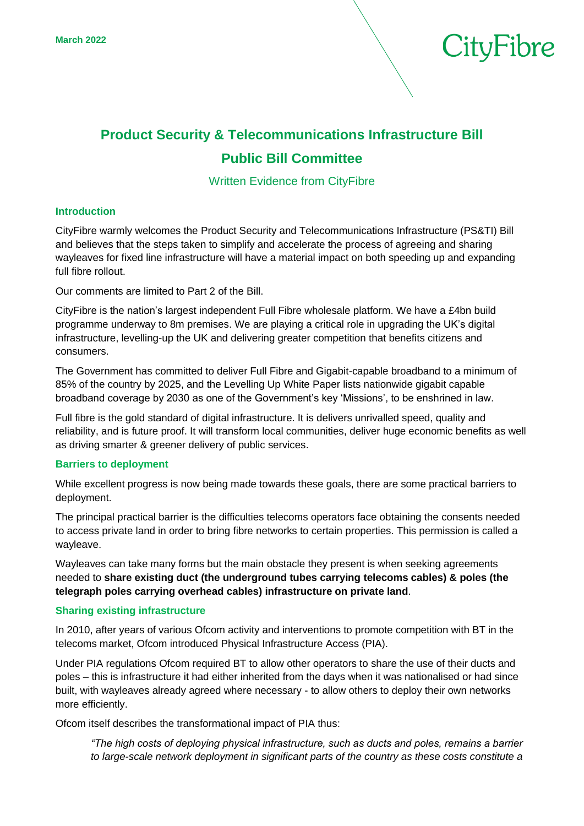

# **Product Security & Telecommunications Infrastructure Bill Public Bill Committee**

Written Evidence from CityFibre

# **Introduction**

CityFibre warmly welcomes the Product Security and Telecommunications Infrastructure (PS&TI) Bill and believes that the steps taken to simplify and accelerate the process of agreeing and sharing wayleaves for fixed line infrastructure will have a material impact on both speeding up and expanding full fibre rollout.

Our comments are limited to Part 2 of the Bill.

CityFibre is the nation's largest independent Full Fibre wholesale platform. We have a £4bn build programme underway to 8m premises. We are playing a critical role in upgrading the UK's digital infrastructure, levelling-up the UK and delivering greater competition that benefits citizens and consumers.

The Government has committed to deliver Full Fibre and Gigabit-capable broadband to a minimum of 85% of the country by 2025, and the Levelling Up White Paper lists nationwide gigabit capable broadband coverage by 2030 as one of the Government's key 'Missions', to be enshrined in law.

Full fibre is the gold standard of digital infrastructure. It is delivers unrivalled speed, quality and reliability, and is future proof. It will transform local communities, deliver huge economic benefits as well as driving smarter & greener delivery of public services.

# **Barriers to deployment**

While excellent progress is now being made towards these goals, there are some practical barriers to deployment.

The principal practical barrier is the difficulties telecoms operators face obtaining the consents needed to access private land in order to bring fibre networks to certain properties. This permission is called a wayleave.

Wayleaves can take many forms but the main obstacle they present is when seeking agreements needed to **share existing duct (the underground tubes carrying telecoms cables) & poles (the telegraph poles carrying overhead cables) infrastructure on private land**.

# **Sharing existing infrastructure**

In 2010, after years of various Ofcom activity and interventions to promote competition with BT in the telecoms market, Ofcom introduced Physical Infrastructure Access (PIA).

Under PIA regulations Ofcom required BT to allow other operators to share the use of their ducts and poles – this is infrastructure it had either inherited from the days when it was nationalised or had since built, with wayleaves already agreed where necessary - to allow others to deploy their own networks more efficiently.

Ofcom itself describes the transformational impact of PIA thus:

*"The high costs of deploying physical infrastructure, such as ducts and poles, remains a barrier to large-scale network deployment in significant parts of the country as these costs constitute a*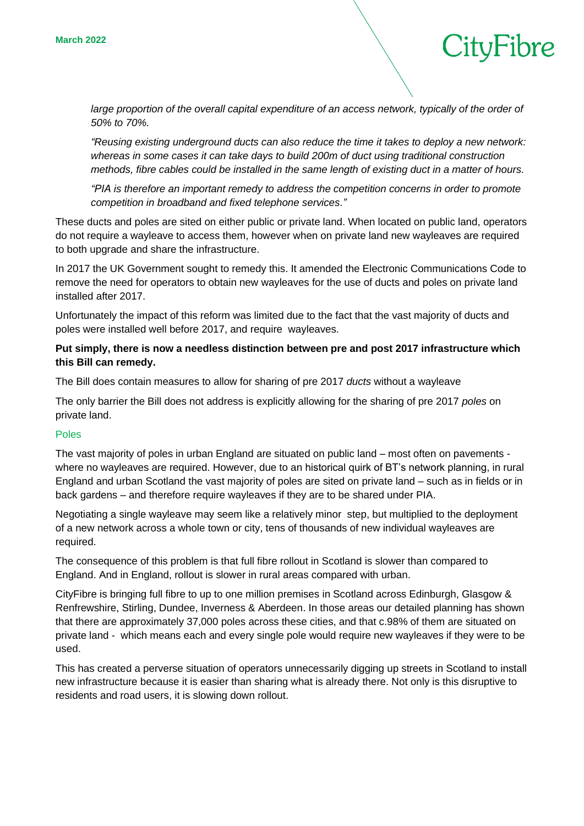large proportion of the overall capital expenditure of an access network, typically of the order of *50% to 70%.* 

CityFibre

*"Reusing existing underground ducts can also reduce the time it takes to deploy a new network: whereas in some cases it can take days to build 200m of duct using traditional construction methods, fibre cables could be installed in the same length of existing duct in a matter of hours.* 

*"PIA is therefore an important remedy to address the competition concerns in order to promote competition in broadband and fixed telephone services."*

These ducts and poles are sited on either public or private land. When located on public land, operators do not require a wayleave to access them, however when on private land new wayleaves are required to both upgrade and share the infrastructure.

In 2017 the UK Government sought to remedy this. It amended the Electronic Communications Code to remove the need for operators to obtain new wayleaves for the use of ducts and poles on private land installed after 2017.

Unfortunately the impact of this reform was limited due to the fact that the vast majority of ducts and poles were installed well before 2017, and require wayleaves.

# **Put simply, there is now a needless distinction between pre and post 2017 infrastructure which this Bill can remedy.**

The Bill does contain measures to allow for sharing of pre 2017 *ducts* without a wayleave

The only barrier the Bill does not address is explicitly allowing for the sharing of pre 2017 *poles* on private land.

# Poles

The vast majority of poles in urban England are situated on public land – most often on pavements where no wayleaves are required. However, due to an historical quirk of BT's network planning, in rural England and urban Scotland the vast majority of poles are sited on private land – such as in fields or in back gardens – and therefore require wayleaves if they are to be shared under PIA.

Negotiating a single wayleave may seem like a relatively minor step, but multiplied to the deployment of a new network across a whole town or city, tens of thousands of new individual wayleaves are required.

The consequence of this problem is that full fibre rollout in Scotland is slower than compared to England. And in England, rollout is slower in rural areas compared with urban.

CityFibre is bringing full fibre to up to one million premises in Scotland across Edinburgh, Glasgow & Renfrewshire, Stirling, Dundee, Inverness & Aberdeen. In those areas our detailed planning has shown that there are approximately 37,000 poles across these cities, and that c.98% of them are situated on private land - which means each and every single pole would require new wayleaves if they were to be used.

This has created a perverse situation of operators unnecessarily digging up streets in Scotland to install new infrastructure because it is easier than sharing what is already there. Not only is this disruptive to residents and road users, it is slowing down rollout.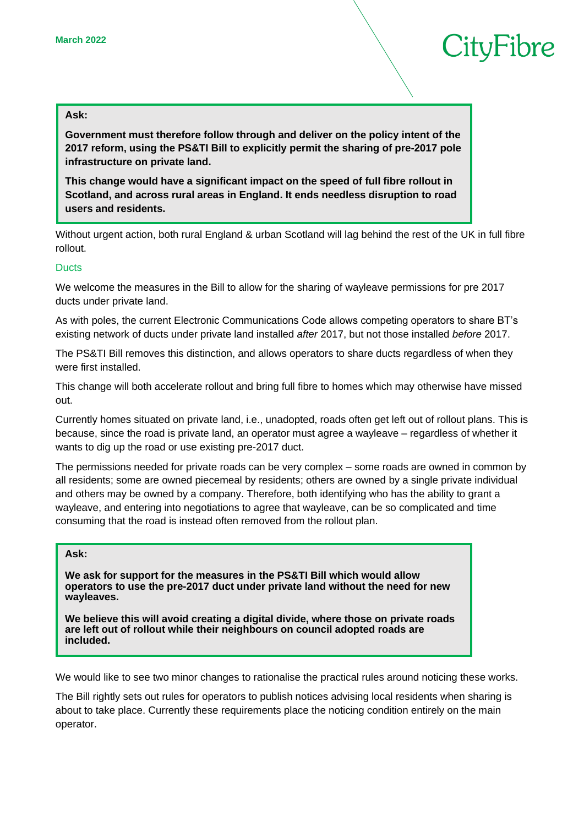# CityFibre

#### **Ask:**

**Government must therefore follow through and deliver on the policy intent of the 2017 reform, using the PS&TI Bill to explicitly permit the sharing of pre-2017 pole infrastructure on private land.** 

**This change would have a significant impact on the speed of full fibre rollout in Scotland, and across rural areas in England. It ends needless disruption to road users and residents.** 

Without urgent action, both rural England & urban Scotland will lag behind the rest of the UK in full fibre rollout.

# **Ducts**

We welcome the measures in the Bill to allow for the sharing of wayleave permissions for pre 2017 ducts under private land.

As with poles, the current Electronic Communications Code allows competing operators to share BT's existing network of ducts under private land installed *after* 2017, but not those installed *before* 2017.

The PS&TI Bill removes this distinction, and allows operators to share ducts regardless of when they were first installed.

This change will both accelerate rollout and bring full fibre to homes which may otherwise have missed out.

Currently homes situated on private land, i.e., unadopted, roads often get left out of rollout plans. This is because, since the road is private land, an operator must agree a wayleave – regardless of whether it wants to dig up the road or use existing pre-2017 duct.

The permissions needed for private roads can be very complex – some roads are owned in common by all residents; some are owned piecemeal by residents; others are owned by a single private individual and others may be owned by a company. Therefore, both identifying who has the ability to grant a wayleave, and entering into negotiations to agree that wayleave, can be so complicated and time consuming that the road is instead often removed from the rollout plan.

# **Ask:**

**We ask for support for the measures in the PS&TI Bill which would allow operators to use the pre-2017 duct under private land without the need for new wayleaves.**

**We believe this will avoid creating a digital divide, where those on private roads are left out of rollout while their neighbours on council adopted roads are included.**

We would like to see two minor changes to rationalise the practical rules around noticing these works.

The Bill rightly sets out rules for operators to publish notices advising local residents when sharing is about to take place. Currently these requirements place the noticing condition entirely on the main operator.